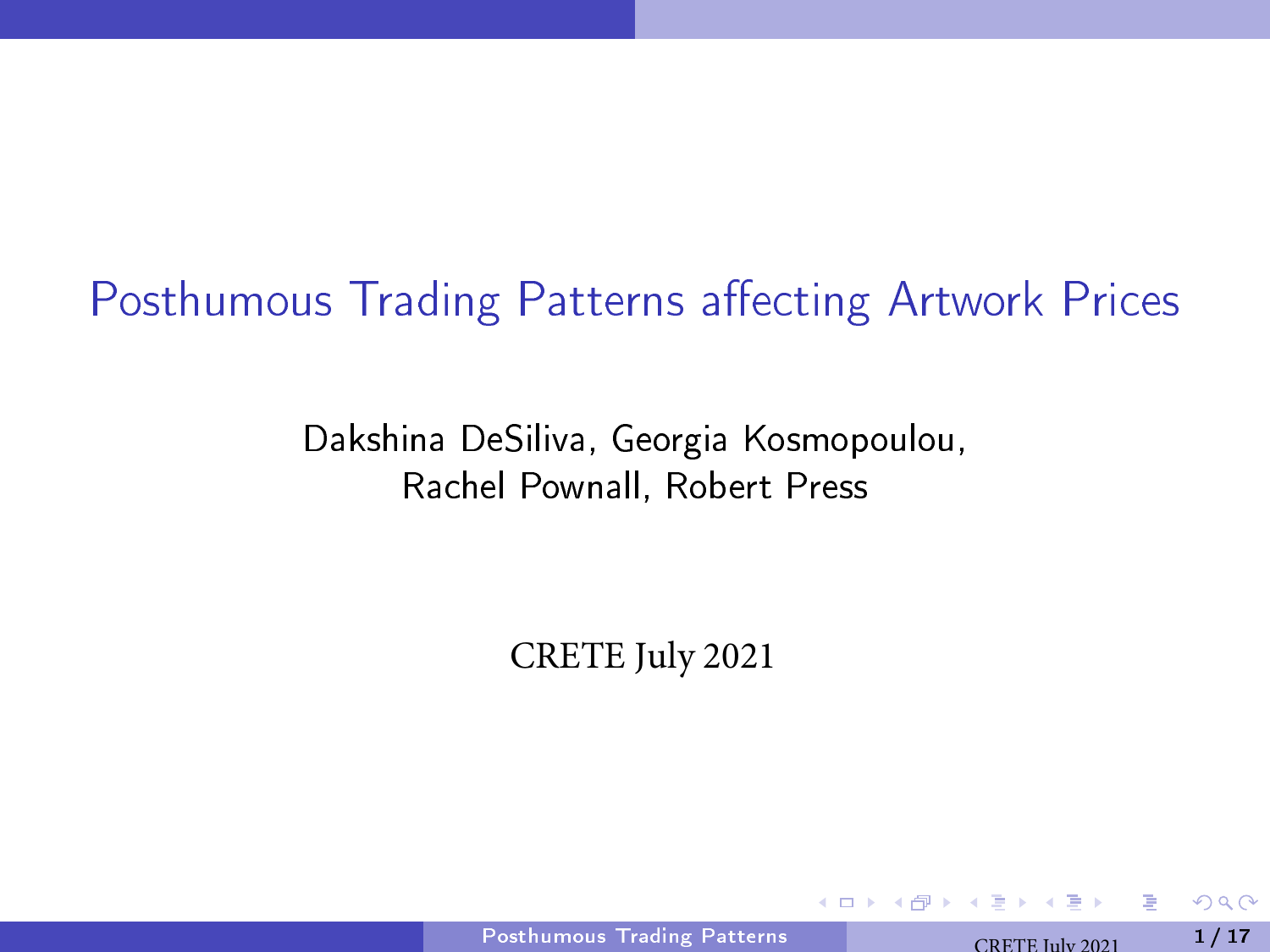# <span id="page-0-0"></span>Posthumous Trading Patterns affecting Artwork Prices

Dakshina DeSiliva, Georgia Kosmopoulou, Rachel Pownall, Robert Press

CRETE July 2021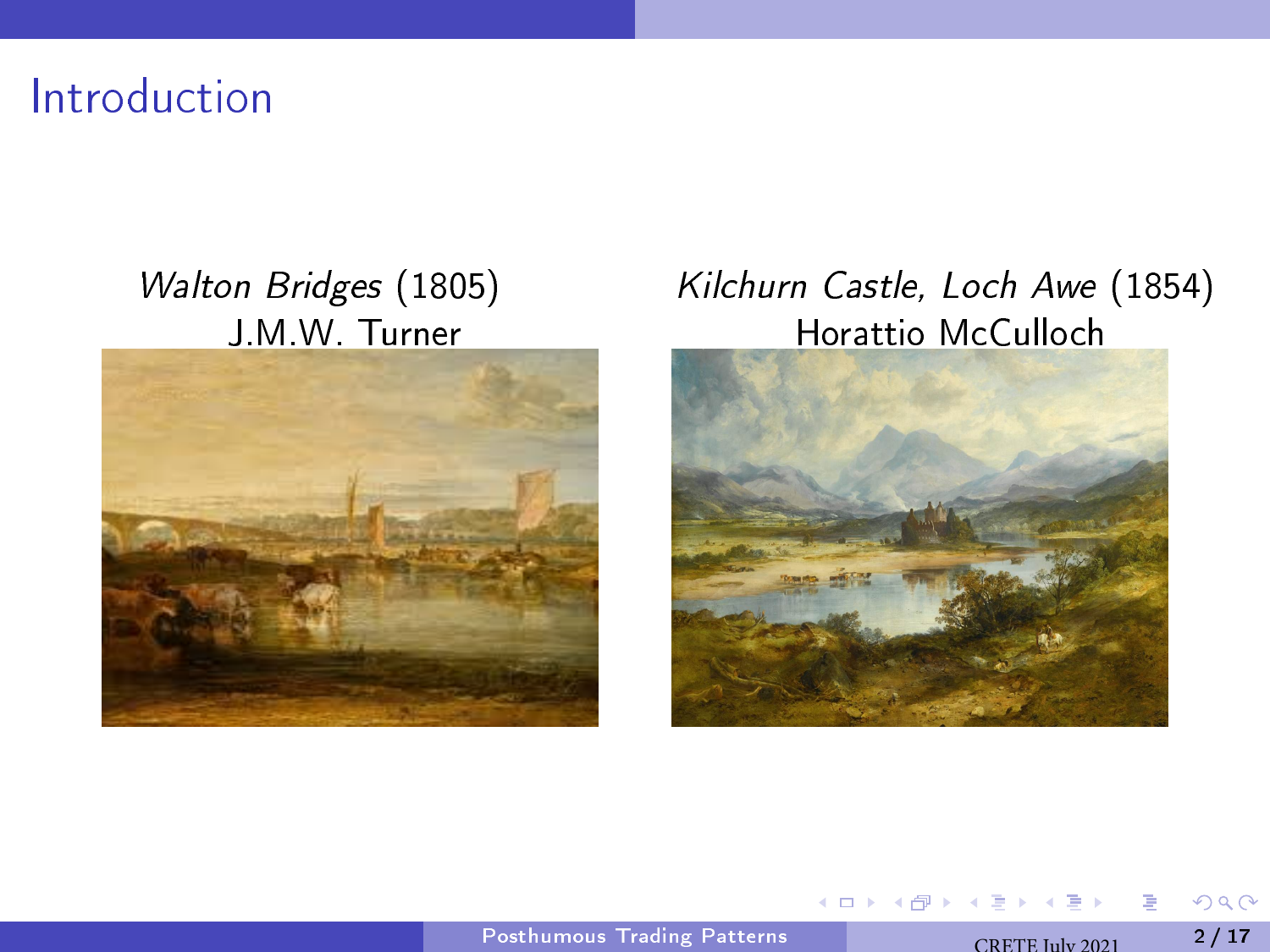Introduction



#### Walton Bridges (1805) Kilchurn Castle, Loch Awe (1854) J.M.W. Turner **Horattio McCulloch**



4日下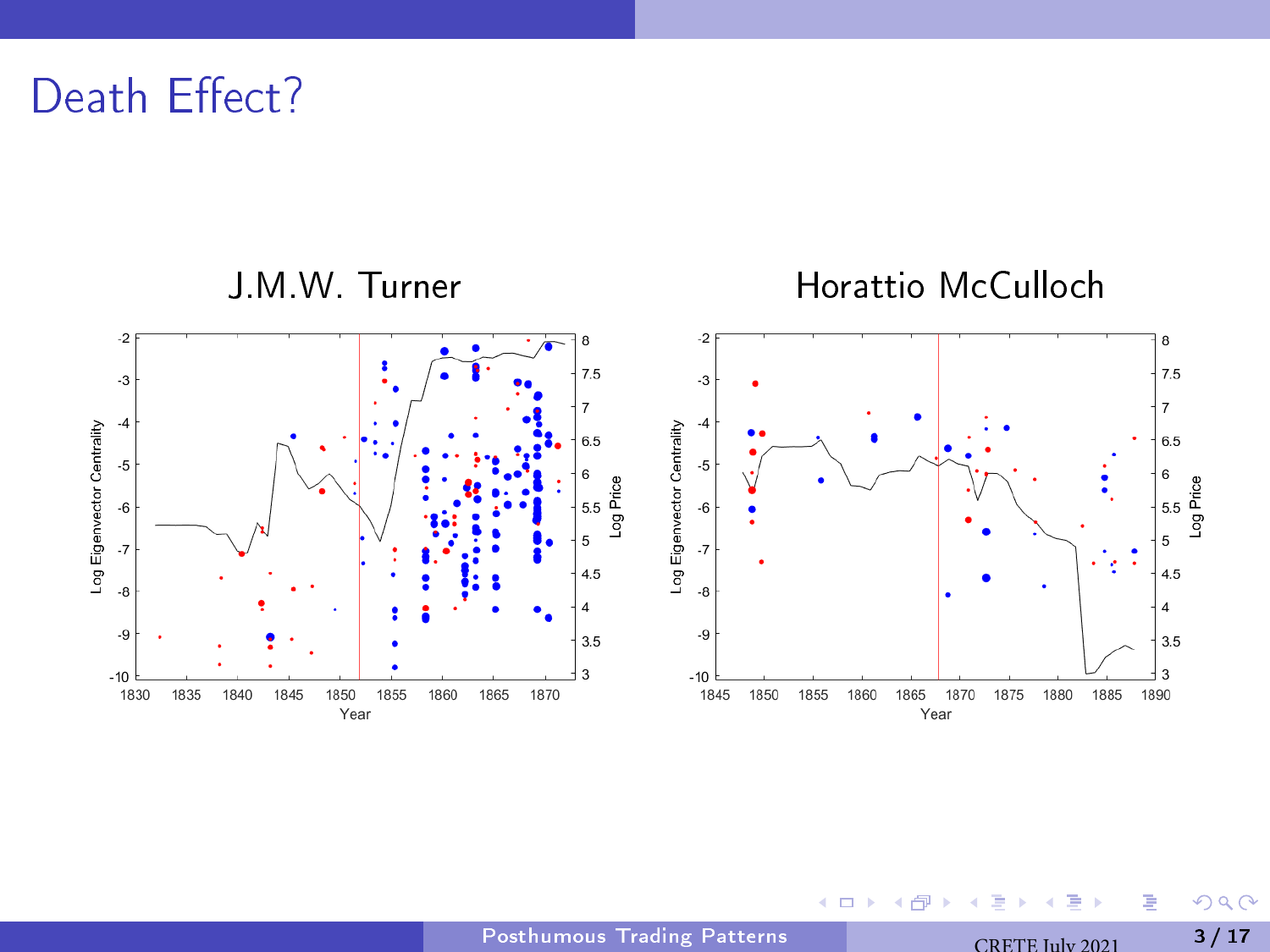Death Effect?



4日下

Þ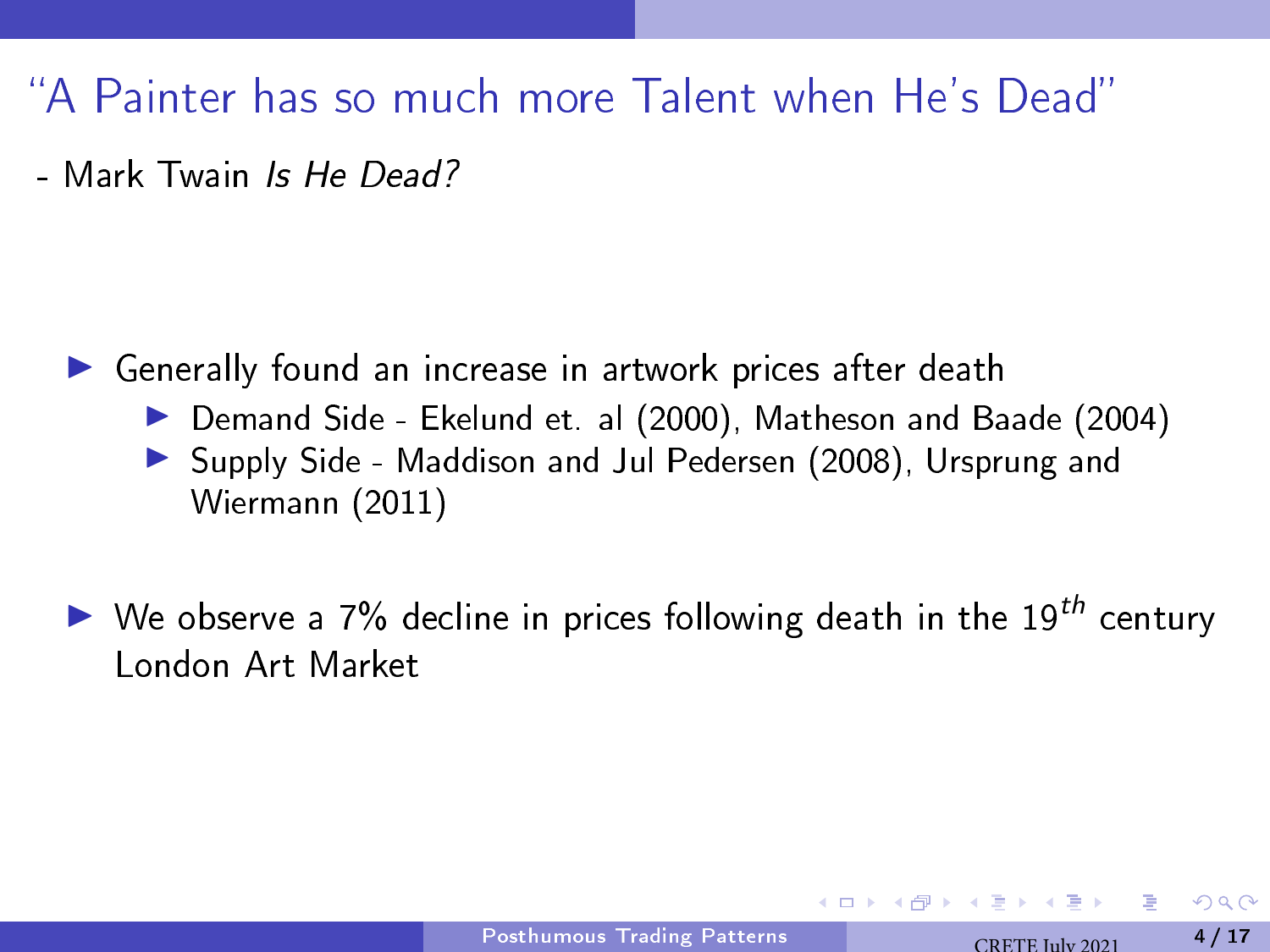A Painter has so much more Talent when He's Dead

- Mark Twain Is He Dead?

- ▶ Generally found an increase in artwork prices after death ▶ Demand Side - Ekelund et. al (2000), Matheson and Baade (2004) ▶ Supply Side - Maddison and Jul Pedersen (2008), Ursprung and Wiermann (2011)
- $\blacktriangleright$  We observe a 7% decline in prices following death in the 19<sup>th</sup> century London Art Market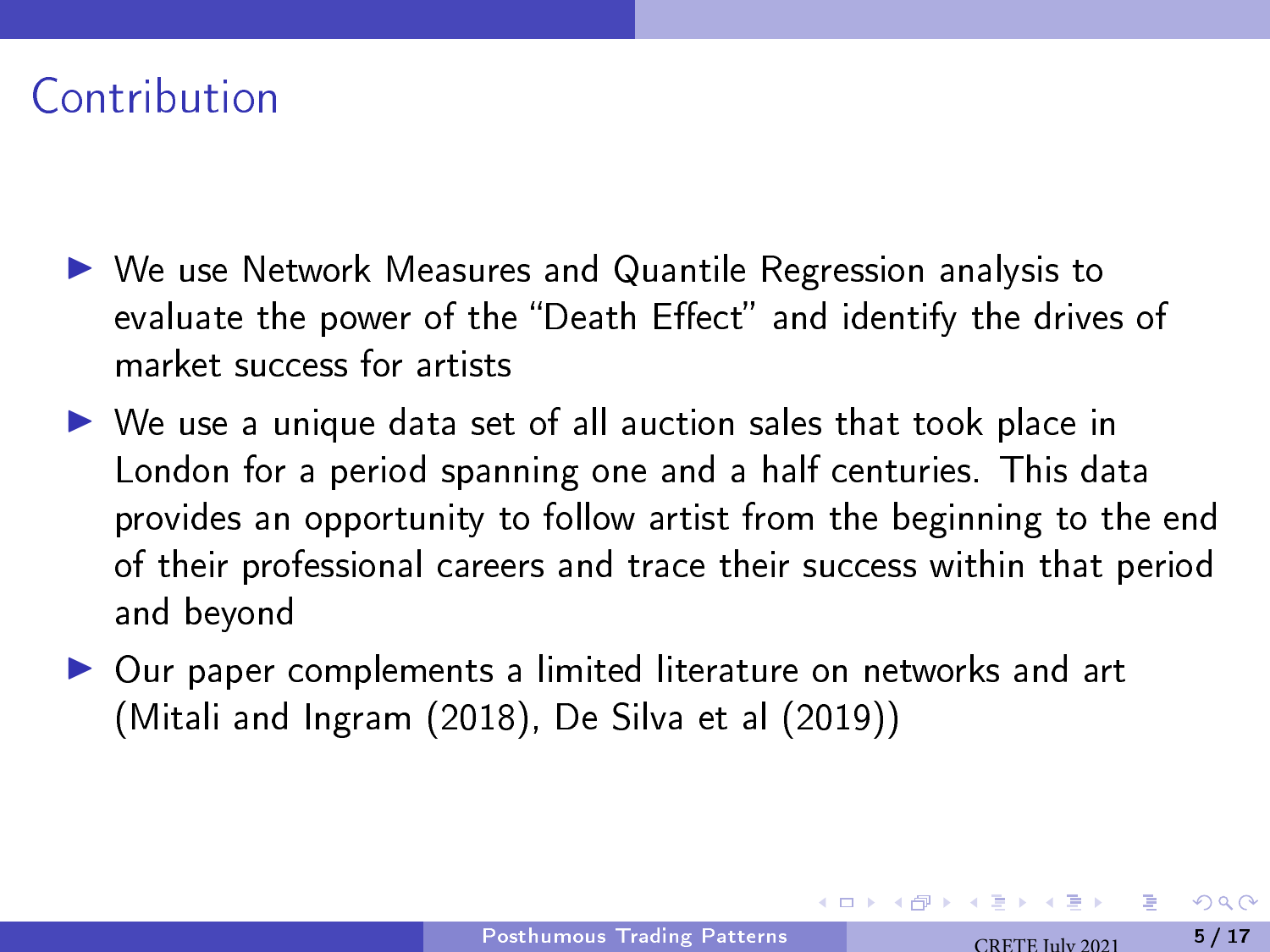### Contribution

- ▶ We use Network Measures and Quantile Regression analysis to evaluate the power of the "Death Effect" and identify the drives of market success for artists
- ▶ We use a unique data set of all auction sales that took place in London for a period spanning one and a half centuries. This data provides an opportunity to follow artist from the beginning to the end of their professional careers and trace their success within that period and beyond
- ▶ Our paper complements a limited literature on networks and art (Mitali and Ingram (2018), De Silva et al (2019))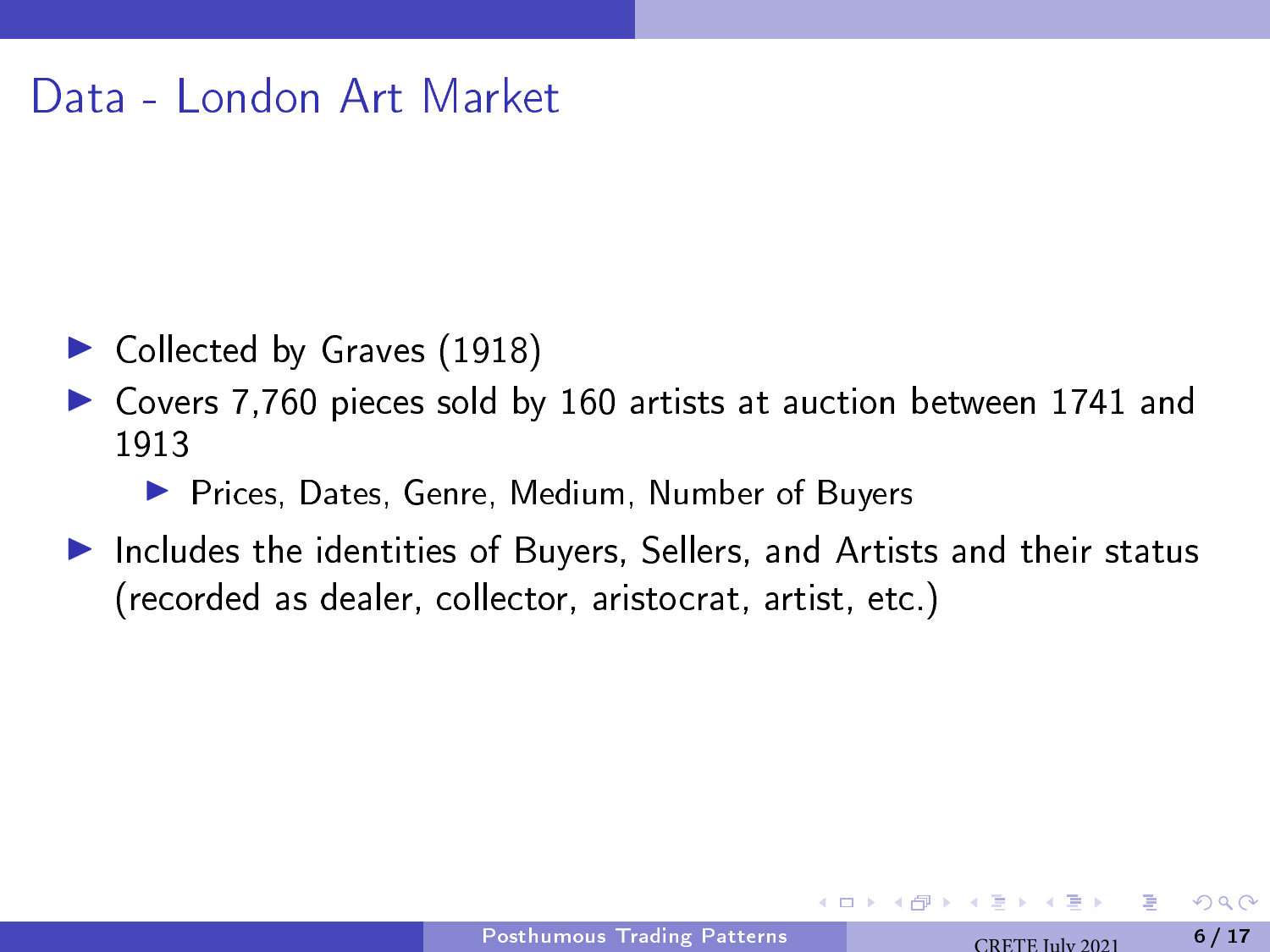#### Data - London Art Market

- $\blacktriangleright$  Collected by Graves (1918)
- ▶ Covers 7,760 pieces sold by 160 artists at auction between 1741 and 1913
	- ▶ Prices, Dates, Genre, Medium, Number of Buyers
- Includes the identities of Buyers, Sellers, and Artists and their status (recorded as dealer, collector, aristocrat, artist, etc.)

つへへ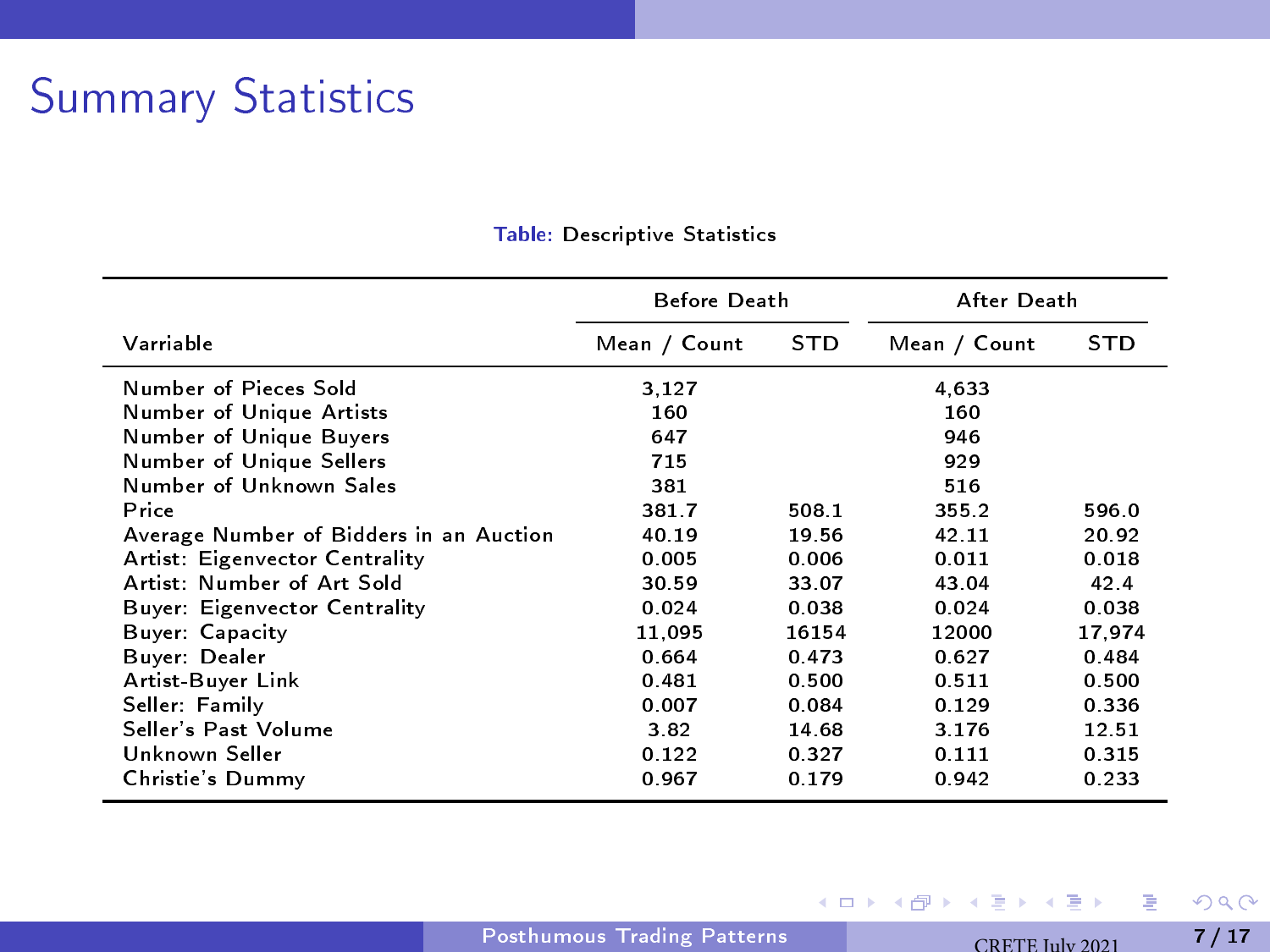## Summary Statistics

| Before Death                            |              |            | After Death  |            |  |
|-----------------------------------------|--------------|------------|--------------|------------|--|
| Varriable                               | Mean / Count | <b>STD</b> | Mean / Count | <b>STD</b> |  |
| Number of Pieces Sold                   | 3,127        |            | 4,633        |            |  |
| Number of Unique Artists                | 160          |            | 160          |            |  |
| Number of Unique Buyers                 | 647          |            | 946          |            |  |
| Number of Unique Sellers                | 715          |            | 929          |            |  |
| Number of Unknown Sales                 | 381          |            | 516          |            |  |
| Price                                   | 3817         | 508.1      | 355.2        | 596.0      |  |
| Average Number of Bidders in an Auction | 40.19        | 19.56      | 42.11        | 20.92      |  |
| Artist: Eigenvector Centrality          | 0.005        | 0.006      | 0.011        | 0.018      |  |
| Artist: Number of Art Sold              | 30.59        | 33.07      | 43.04        | 42.4       |  |
| Buyer: Eigenvector Centrality           | 0.024        | 0.038      | 0.024        | 0.038      |  |
| Buyer Capacity                          | 11.095       | 16154      | 12000        | 17.974     |  |
| Buyer: Dealer                           | 0.664        | 0.473      | 0.627        | 0.484      |  |
| Artist-Buyer Link                       | 0.481        | 0.500      | 0.511        | 0.500      |  |
| Seller: Family                          | 0.007        | 0.084      | 0.129        | 0.336      |  |
| Seller's Past Volume                    | 3.82         | 14.68      | 3.176        | 12.51      |  |
| Unknown Seller                          | 0.122        | 0.327      | 0.111        | 0.315      |  |
| Christie's Dummy                        | 0.967        | 0.179      | 0.942        | 0.233      |  |

#### Table: Descriptive Statistics

重

イロト イ部 トメ ヨ トメ ヨト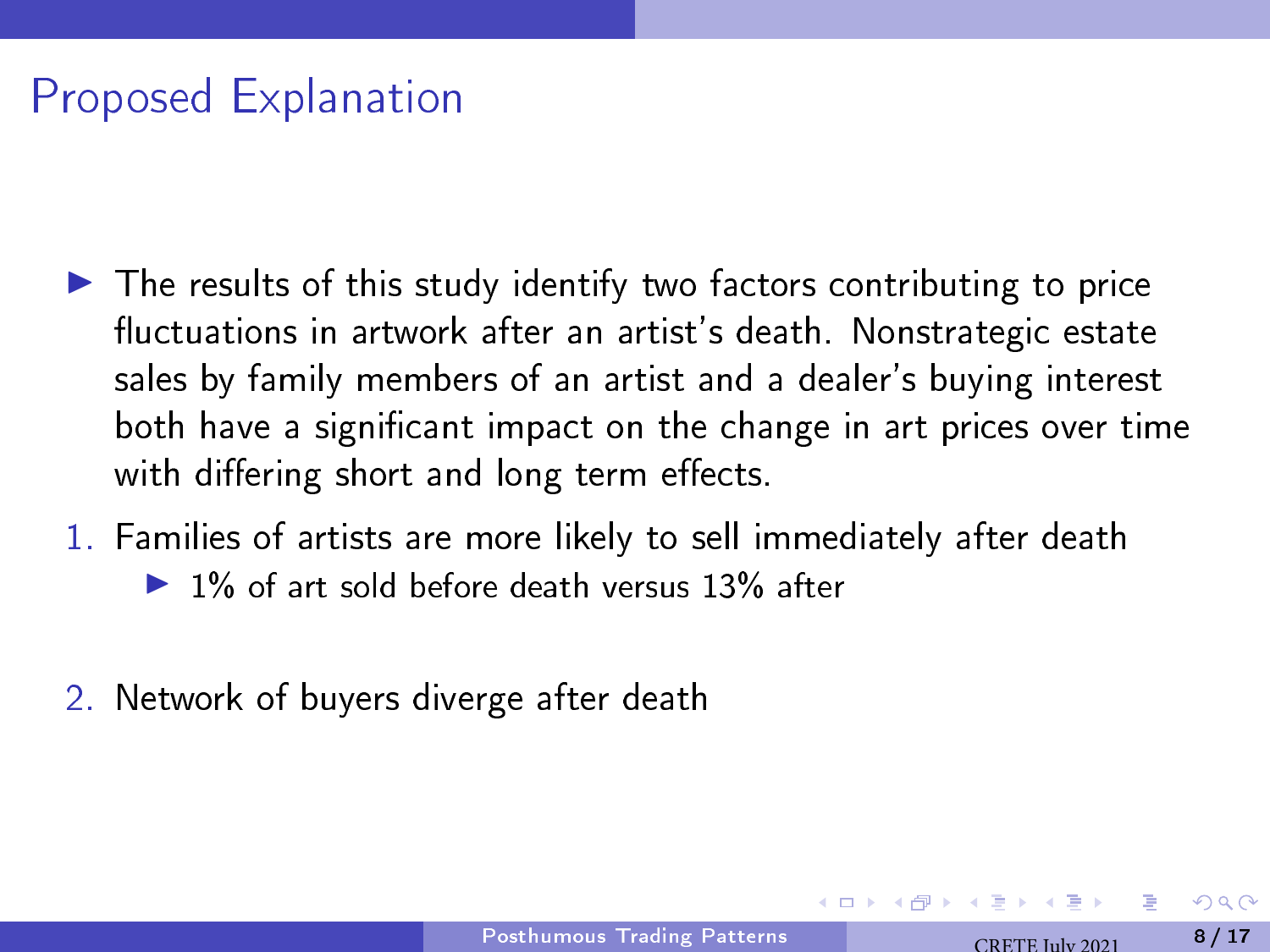# Proposed Explanation

- $\blacktriangleright$  The results of this study identify two factors contributing to price fluctuations in artwork after an artist's death. Nonstrategic estate sales by family members of an artist and a dealer's buying interest both have a signicant impact on the change in art prices over time with differing short and long term effects.
- 1. Families of artists are more likely to sell immediately after death  $\triangleright$  1% of art sold before death versus 13% after
- 2. Network of buyers diverge after death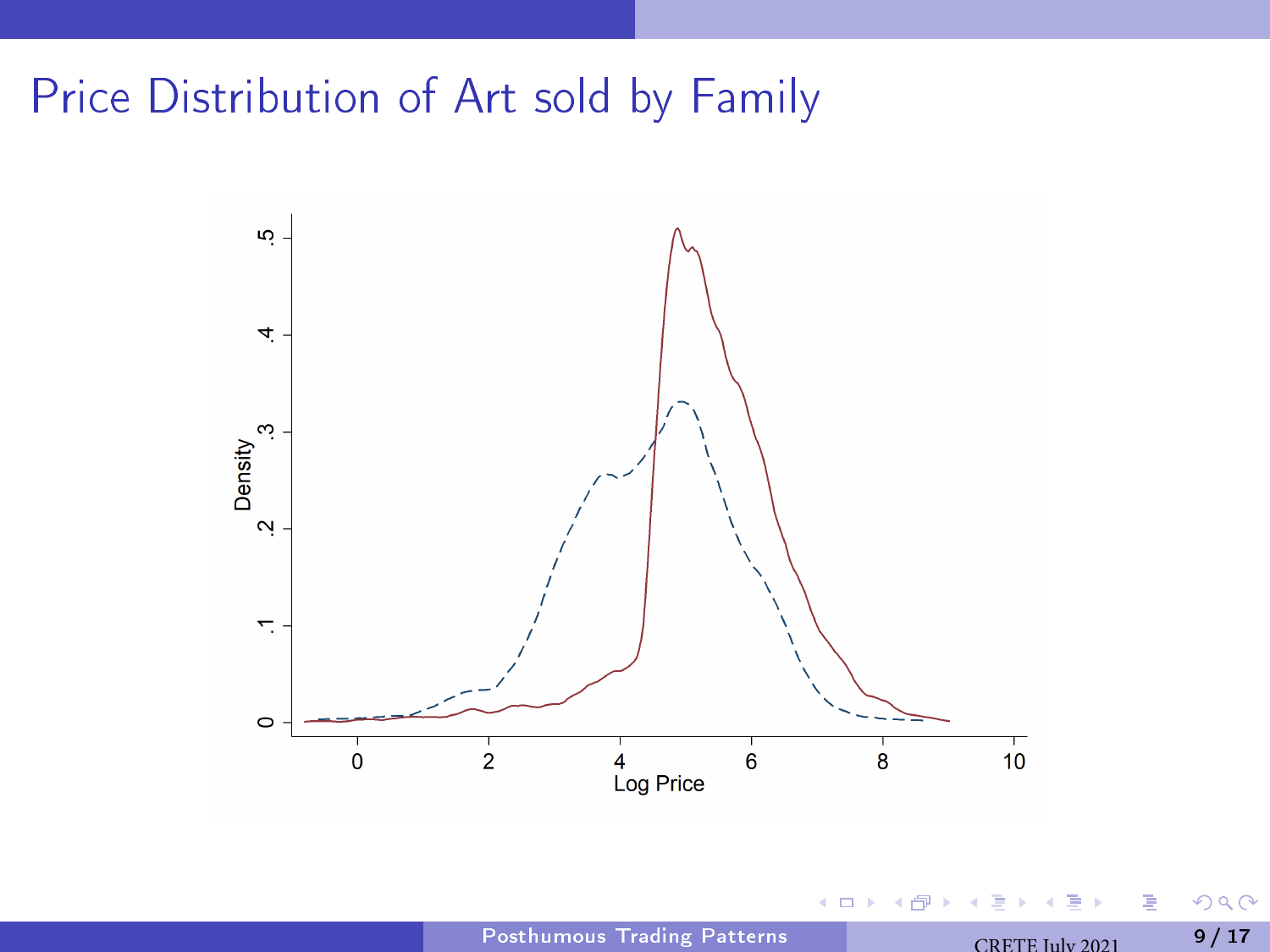# Price Distribution of Art sold by Family



4 0 3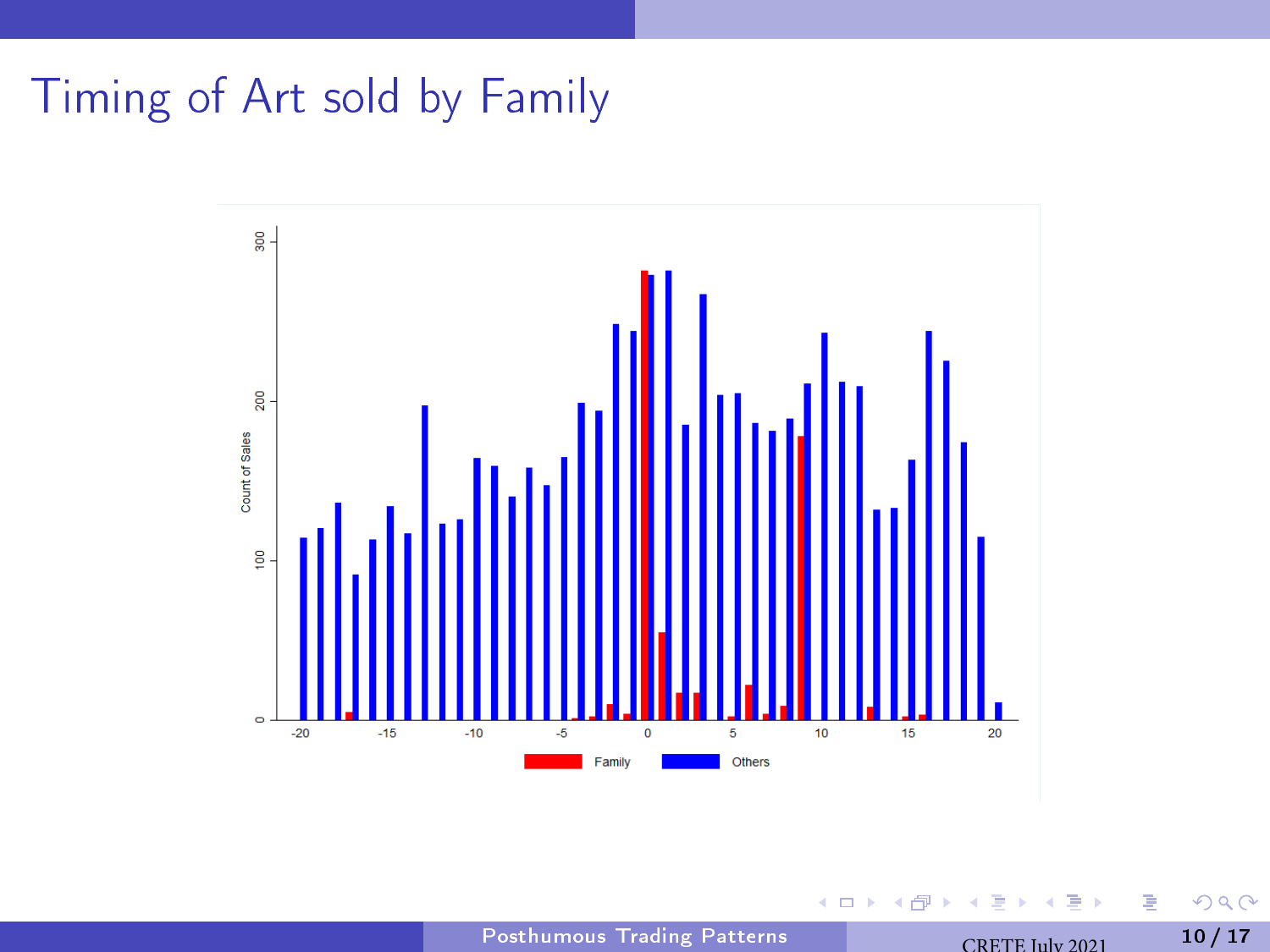# Timing of Art sold by Family



4 0 3

B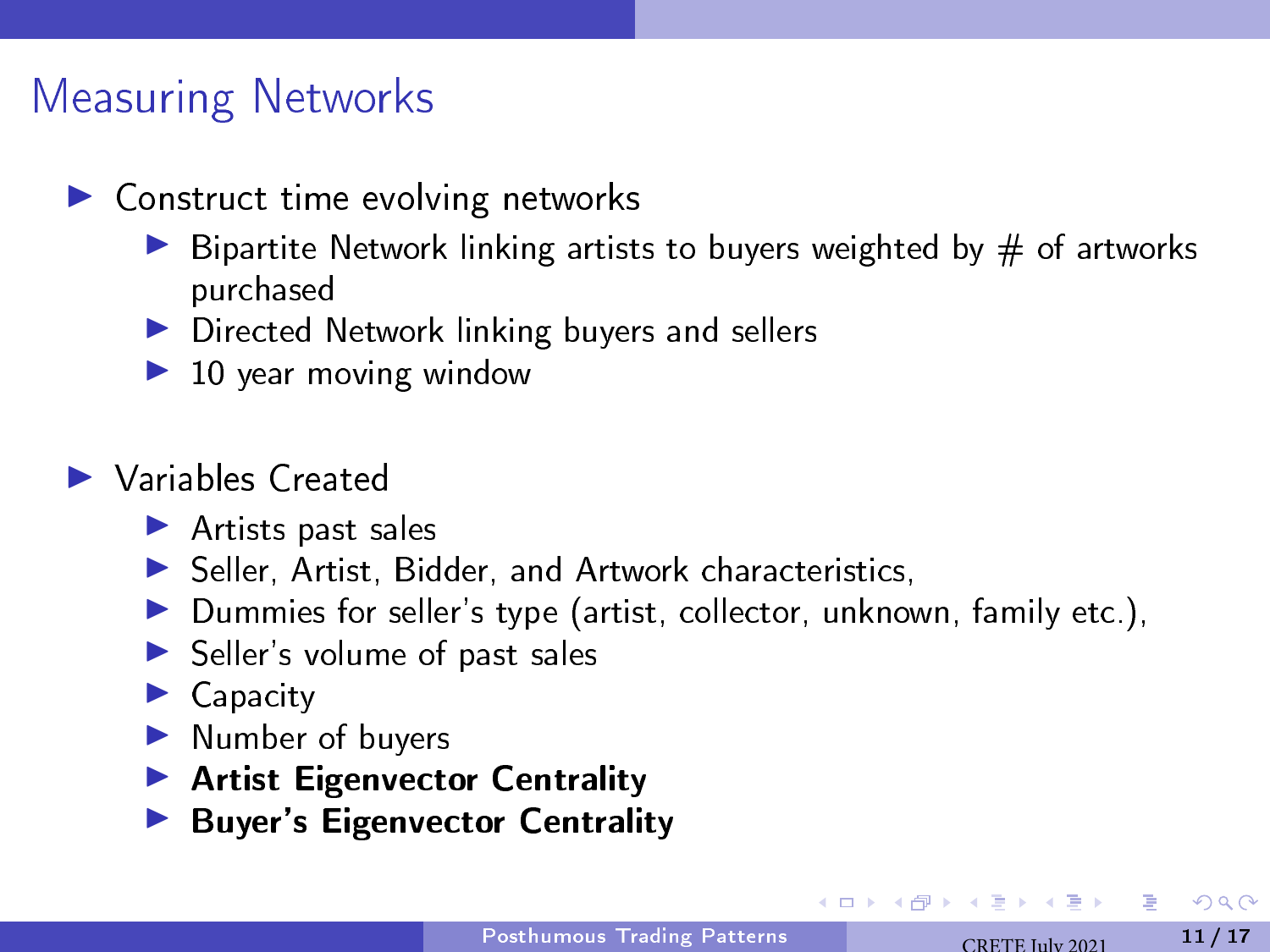## Measuring Networks

- $\blacktriangleright$  Construct time evolving networks
	- $\triangleright$  Bipartite Network linking artists to buyers weighted by  $\#$  of artworks purchased
	- ▶ Directed Network linking buyers and sellers
	- $\blacktriangleright$  10 year moving window

#### $\blacktriangleright$  Variables Created

- $\blacktriangleright$  Artists past sales
- $\blacktriangleright$  Seller, Artist, Bidder, and Artwork characteristics,
- $\blacktriangleright$  Dummies for seller's type (artist, collector, unknown, family etc.),
- $\blacktriangleright$  Seller's volume of past sales
- $\blacktriangleright$  Capacity
- $\blacktriangleright$  Number of buyers
- ▶ Artist Eigenvector Centrality
- ▶ Buyer's Eigenvector Centrality

 $QQQ$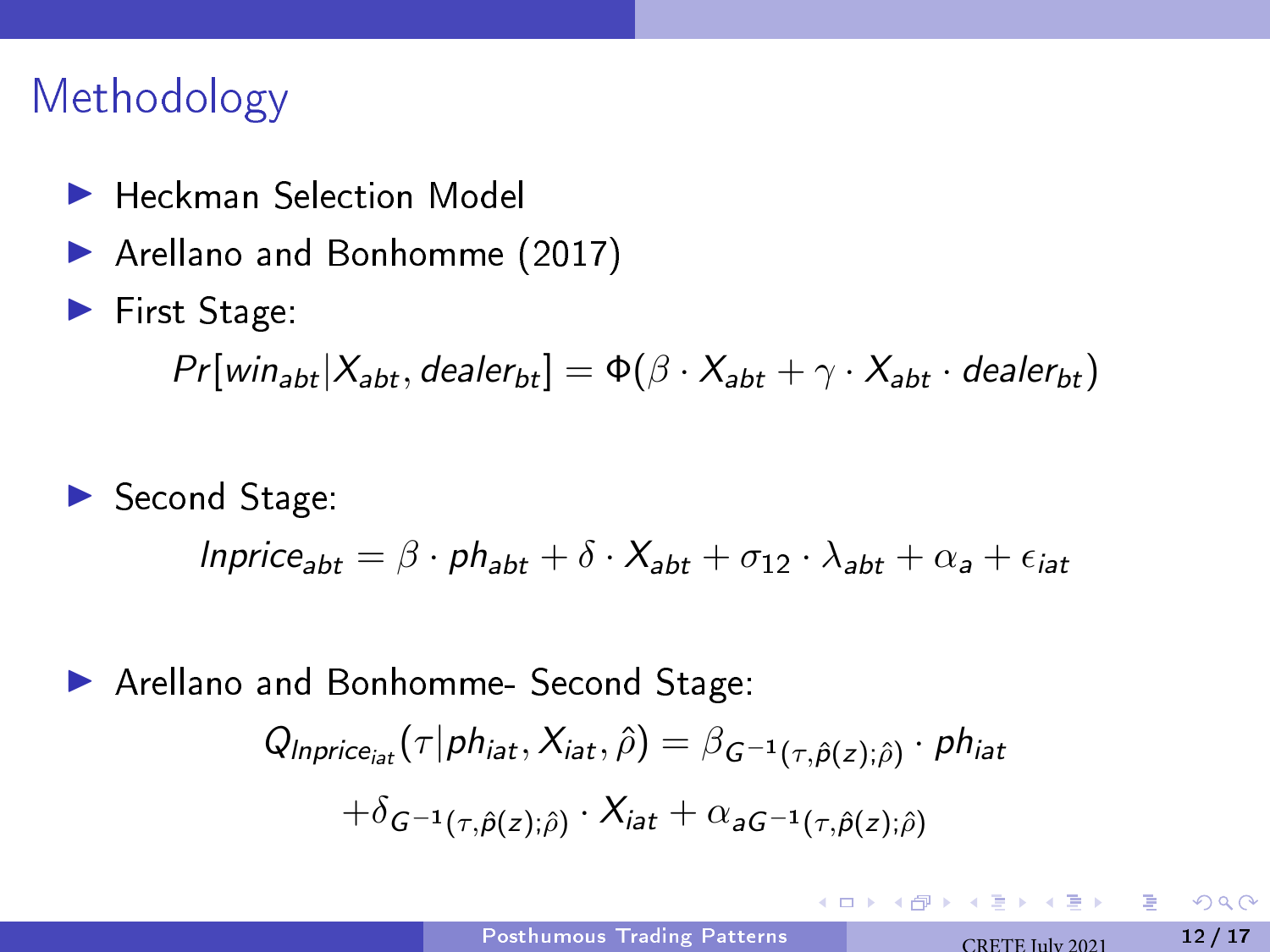### Methodology

- ▶ Heckman Selection Model
- ▶ Arellano and Bonhomme (2017)
- $\blacktriangleright$  First Stage:

 $Pr[\text{win}_{\text{abt}}|X_{\text{abt}}, \text{dealer}_{\text{bt}}] = \Phi(\beta \cdot X_{\text{abt}} + \gamma \cdot X_{\text{abt}} \cdot \text{dealer}_{\text{bt}})$ 

 $\blacktriangleright$  Second Stage:  $Inprice<sub>aht</sub> = \beta \cdot ph<sub>abt</sub> + \delta \cdot X<sub>abt</sub> + \sigma_{12} \cdot \lambda_{abt} + \alpha_a + \epsilon_{iat}$ 

▶ Arellano and Bonhomme- Second Stage:

$$
Q_{Inprice_{iat}}(\tau|phi_{iat}, X_{iat}, \hat{\rho}) = \beta_{G^{-1}(\tau, \hat{\rho}(z); \hat{\rho})} \cdot \rho h_{iat}
$$

$$
+ \delta_{G^{-1}(\tau, \hat{\rho}(z); \hat{\rho})} \cdot X_{iat} + \alpha_{aG^{-1}(\tau, \hat{\rho}(z); \hat{\rho})}
$$

 $\Omega$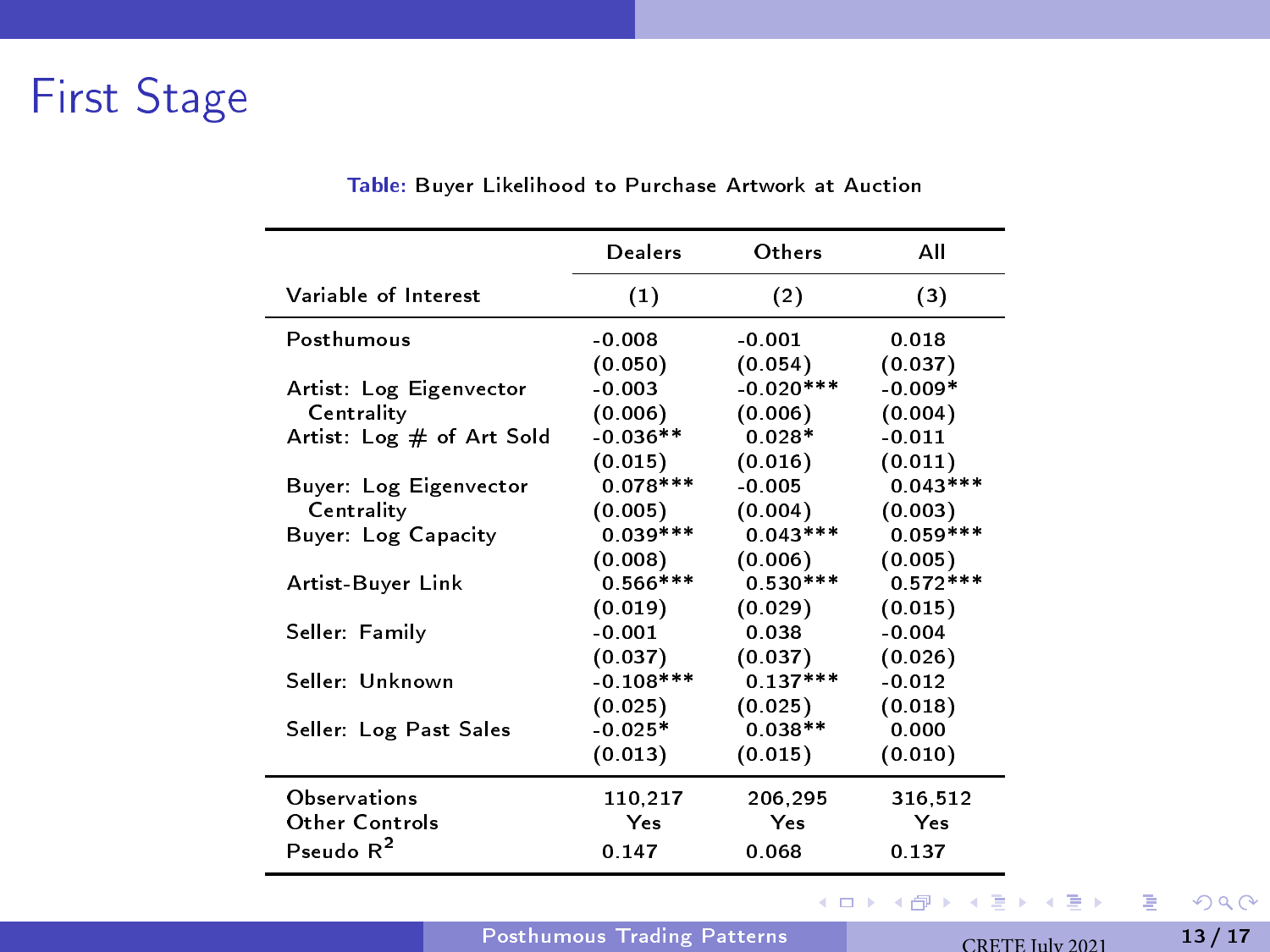# <span id="page-12-0"></span>First Stage

|                           | Dealers     | Others      | All        |
|---------------------------|-------------|-------------|------------|
| Variable of Interest      | (1)         | (2)         | (3)        |
| Posthumous                | $-0.008$    | $-0.001$    | 0.018      |
|                           | (0.050)     | (0.054)     | (0.037)    |
| Artist: Log Eigenvector   | $-0.003$    | $-0.020***$ | $-0.009*$  |
| Centrality                | (0.006)     | (0.006)     | (0.004)    |
| Artist: Log # of Art Sold | $-0.036**$  | $0.028*$    | $-0.011$   |
|                           | (0.015)     | (0.016)     | (0.011)    |
| Buyer: Log Eigenvector    | $0.078***$  | $-0.005$    | $0.043***$ |
| Centrality                | (0.005)     | (0.004)     | (0.003)    |
| Buyer: Log Capacity       | $0.039***$  | $0.043***$  | $0.059***$ |
|                           | (0.008)     | (0.006)     | (0.005)    |
| Artist-Buyer Link         | $0.566***$  | $0.530***$  | $0.572***$ |
|                           | (0.019)     | (0.029)     | (0.015)    |
| Seller: Family            | $-0.001$    | 0.038       | $-0.004$   |
|                           | (0.037)     | (0.037)     | (0.026)    |
| Seller: Unknown           | $-0.108***$ | $0.137***$  | $-0.012$   |
|                           | (0.025)     | (0.025)     | (0.018)    |
| Seller: Log Past Sales    | $-0.025*$   | $0.038**$   | 0.000      |
|                           | (0.013)     | (0.015)     | (0.010)    |
| <b>Observations</b>       | 110,217     | 206,295     | 316.512    |
| Other Controls            | Yes         | Yes         | Yes        |
| Pseudo $R^2$              | 0.147       | 0.068       | 0.137      |
|                           |             |             |            |

#### Table: Buyer Likelihood to Purchase Artwork at Auction

[Posthumous Trading Patterns](#page-0-0) CRETE July 2021 13 / 17

メロト メタト メミト メミト

 $2990$ 

重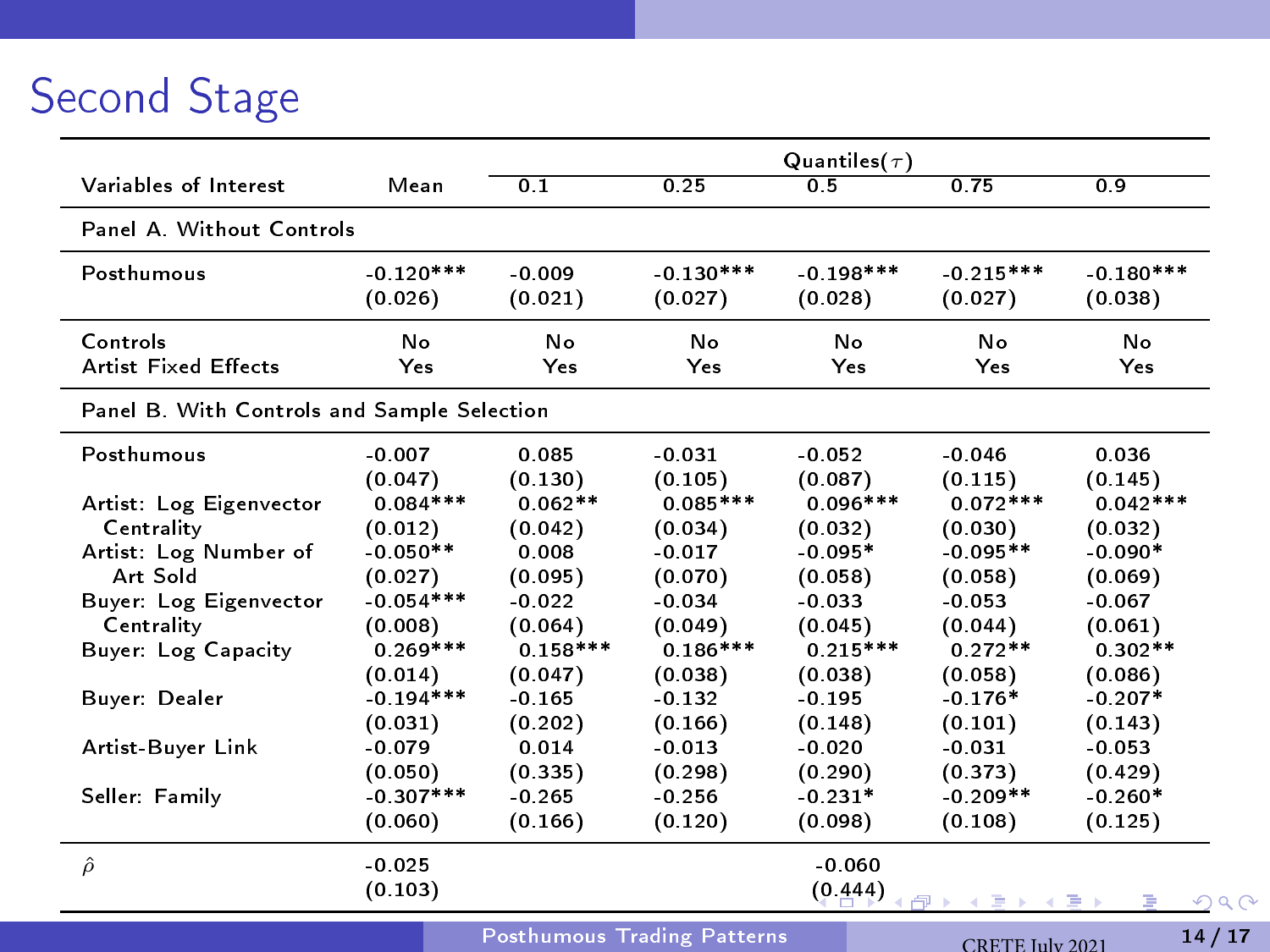# Second Stage

|                                             |              | Quantiles( $\tau$ )                |             |             |                      |             |
|---------------------------------------------|--------------|------------------------------------|-------------|-------------|----------------------|-------------|
| Variables of Interest                       | Mean         | 0.1                                | 0.25        | 0.5         | 0.75                 | 0.9         |
| Panel A. Without Controls                   |              |                                    |             |             |                      |             |
| Posthumous                                  | $-0.120***$  | $-0.009$                           | $-0.130***$ | $-0.198***$ | $-0.215***$          | $-0.180***$ |
|                                             | (0.026)      | (0.021)                            | (0.027)     | (0.028)     | (0.027)              | (0.038)     |
| Controls                                    | No           | No                                 | No          | No          | No                   | No          |
| <b>Artist Fixed Effects</b>                 | Yes          | Yes                                | Yes         | Yes         | Yes                  | Yes         |
| Panel B. With Controls and Sample Selection |              |                                    |             |             |                      |             |
| Posthumous                                  | $-0.007$     | 0.085                              | $-0.031$    | $-0.052$    | $-0.046$             | 0.036       |
|                                             | (0.047)      | (0.130)                            | (0.105)     | (0.087)     | (0.115)              | (0.145)     |
| Artist: Log Eigenvector                     | $0.084***$   | $0.062**$                          | $0.085***$  | $0.096***$  | $0.072***$           | $0.042***$  |
| Centrality                                  | (0.012)      | (0.042)                            | (0.034)     | (0.032)     | (0.030)              | (0.032)     |
| Artist: Log Number of                       | $-0.050**$   | 0.008                              | $-0.017$    | $-0.095*$   | $-0.095**$           | $-0.090*$   |
| Art Sold                                    | (0.027)      | (0.095)                            | (0.070)     | (0.058)     | (0.058)              | (0.069)     |
| Buyer: Log Eigenvector                      | $-0.054***$  | $-0.022$                           | $-0.034$    | $-0.033$    | $-0.053$             | $-0.067$    |
| Centrality                                  | (0.008)      | (0.064)                            | (0.049)     | (0.045)     | (0.044)              | (0.061)     |
| Buyer: Log Capacity                         | $0.269***$   | $0.158***$                         | $0.186***$  | $0.215***$  | $0.272**$            | $0.302**$   |
|                                             | (0.014)      | (0.047)                            | (0.038)     | (0.038)     | (0.058)              | (0.086)     |
| Buyer: Dealer                               | $-0.194***$  | $-0.165$                           | $-0.132$    | $-0.195$    | $-0.176*$            | $-0.207*$   |
|                                             | (0.031)      | (0.202)                            | (0.166)     | (0.148)     | (0.101)              | (0.143)     |
| Artist-Buyer Link                           | $-0.079$     | 0.014                              | $-0.013$    | $-0.020$    | $-0.031$             | $-0.053$    |
|                                             | (0.050)      | (0.335)                            | (0.298)     | (0.290)     | (0.373)              | (0.429)     |
| Seller: Family                              | $-0.307$ *** | $-0.265$                           | $-0.256$    | $-0.231*$   | $-0.209**$           | $-0.260*$   |
|                                             | (0.060)      | (0.166)                            | (0.120)     | (0.098)     | (0.108)              | (0.125)     |
| $\hat{\rho}$                                | $-0.025$     |                                    |             | $-0.060$    |                      |             |
|                                             | (0.103)      |                                    |             | (0.444)     | <b>AST</b>           | 2Q<br>ъx    |
|                                             |              | <b>Posthumous Trading Patterns</b> |             |             | $CDEFE$ $Inb$ $2021$ | 14/17       |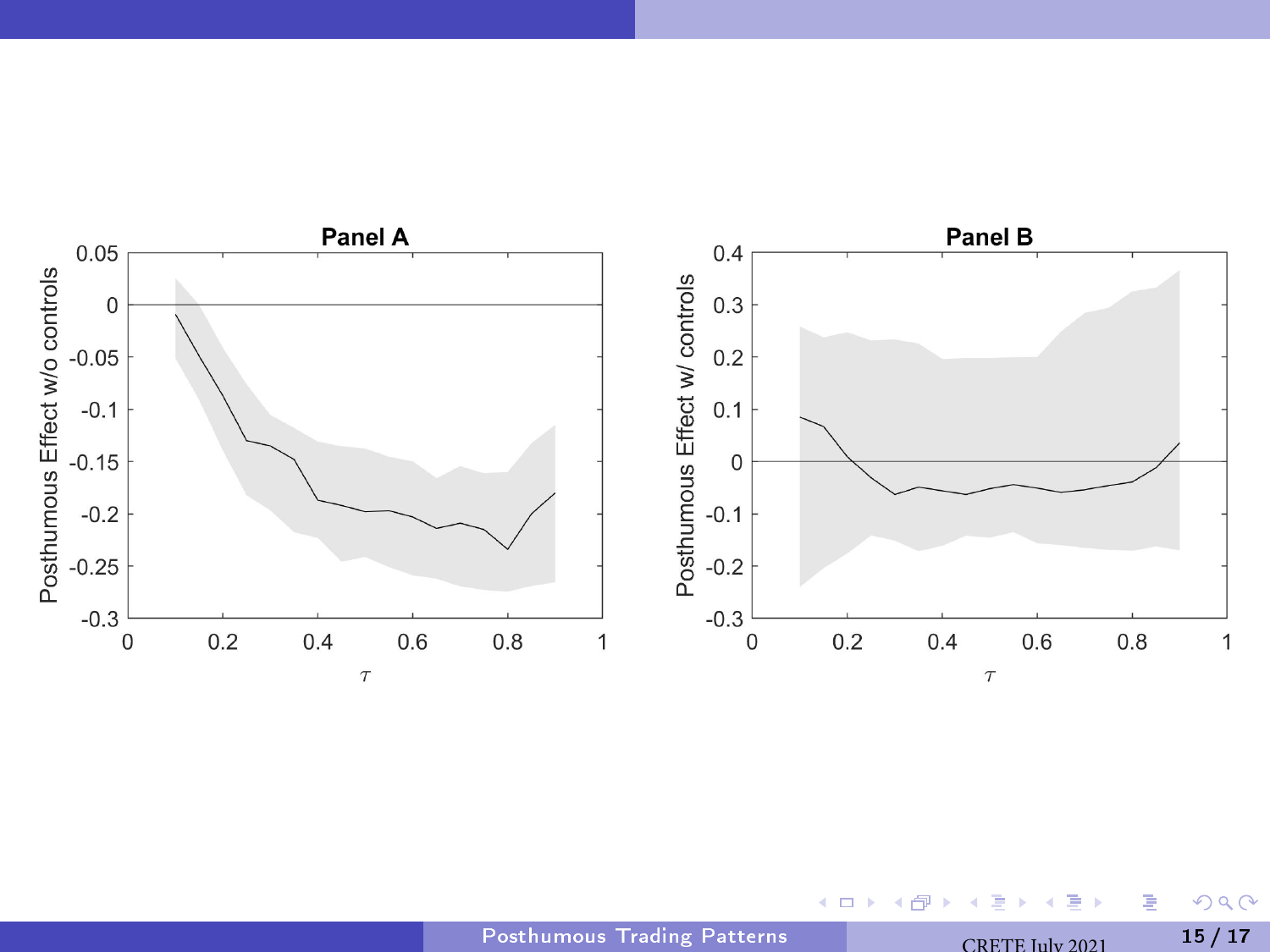<span id="page-14-0"></span>

 $\leftarrow$   $\Box$ 

 $\mathcal{A}$ 伺  $\mathbf{h}$ 

 $\Rightarrow$  $\bar{A}$ 

 $299$ 

重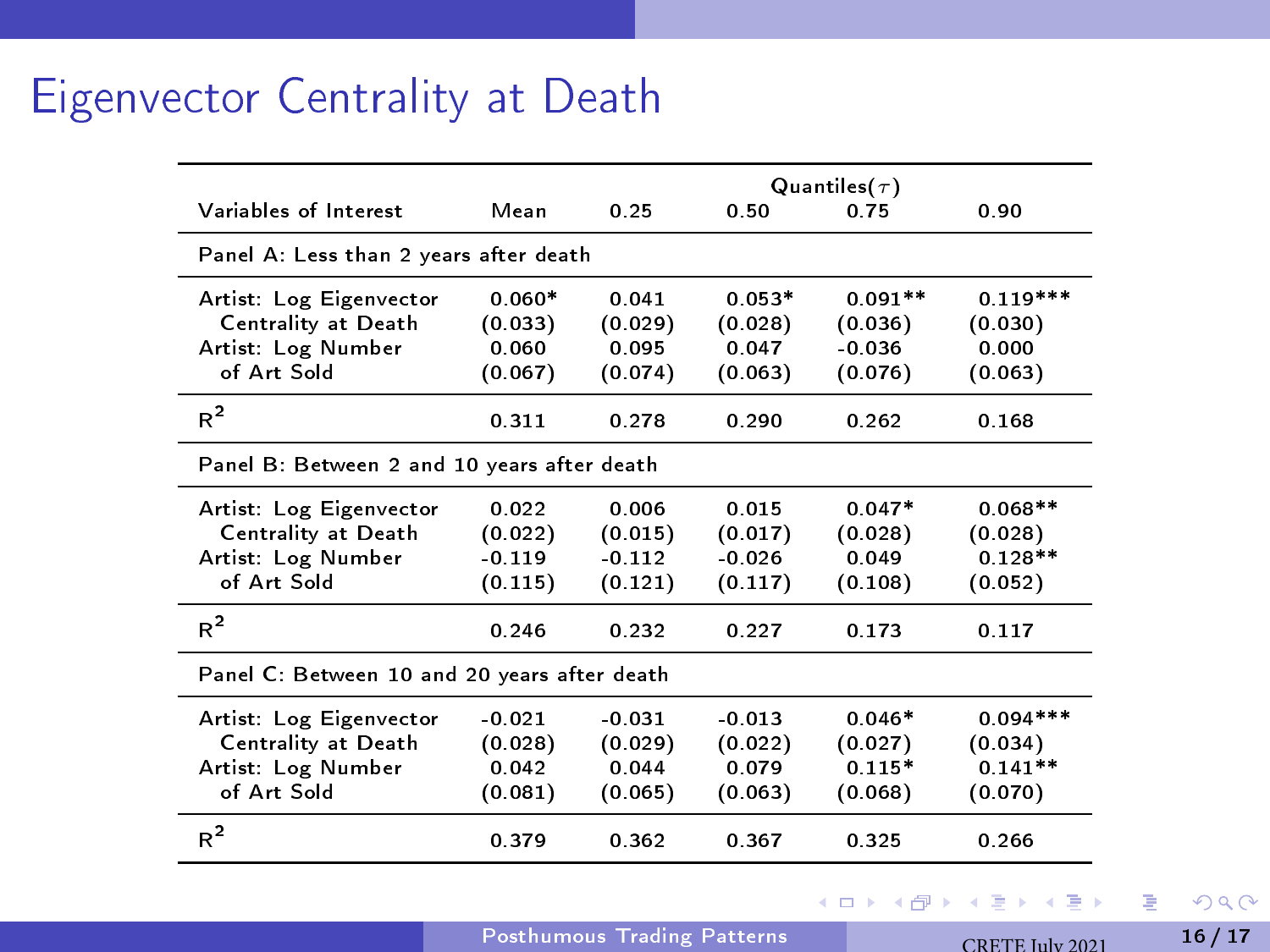### Eigenvector Centrality at Death

|                                              |          | Quantiles( $\tau$ ) |          |           |            |  |  |
|----------------------------------------------|----------|---------------------|----------|-----------|------------|--|--|
| Variables of Interest                        | Mean     | 0.25                | 0.50     | 0.75      | 0.90       |  |  |
| Panel A: Less than 2 years after death       |          |                     |          |           |            |  |  |
| Artist: Log Eigenvector                      | $0.060*$ | 0.041               | $0.053*$ | $0.091**$ | $0.119***$ |  |  |
| Centrality at Death                          | (0.033)  | (0.029)             | (0.028)  | (0.036)   | (0.030)    |  |  |
| Artist: Log Number                           | 0.060    | 0.095               | 0.047    | $-0.036$  | 0.000      |  |  |
| of Art Sold                                  | (0.067)  | (0.074)             | (0.063)  | (0.076)   | (0.063)    |  |  |
| $R^2$                                        | 0.311    | 0.278               | 0.290    | 0.262     | 0.168      |  |  |
| Panel B: Between 2 and 10 years after death  |          |                     |          |           |            |  |  |
| Artist: Log Eigenvector                      | 0.022    | 0.006               | 0.015    | $0.047*$  | $0.068**$  |  |  |
| Centrality at Death                          | (0.022)  | (0.015)             | (0.017)  | (0.028)   | (0.028)    |  |  |
| Artist: Log Number                           | $-0.119$ | $-0.112$            | $-0.026$ | 0.049     | $0.128**$  |  |  |
| of Art Sold                                  | (0.115)  | (0.121)             | (0.117)  | (0.108)   | (0.052)    |  |  |
| $R^2$                                        | 0.246    | 0.232               | 0.227    | 0.173     | 0.117      |  |  |
| Panel C: Between 10 and 20 years after death |          |                     |          |           |            |  |  |
| Artist: Log Eigenvector                      | $-0.021$ | $-0.031$            | $-0.013$ | $0.046*$  | $0.094***$ |  |  |
| Centrality at Death                          | (0.028)  | (0.029)             | (0.022)  | (0.027)   | (0.034)    |  |  |
| Artist: Log Number                           | 0.042    | 0.044               | 0.079    | $0.115*$  | $0.141**$  |  |  |
| of Art Sold                                  | (0.081)  | (0.065)             | (0.063)  | (0.068)   | (0.070)    |  |  |
| $R^2$                                        | 0 379    | 0.362               | 0.367    | 0.325     | 0.266      |  |  |

 $\sim$ 

 $\rightarrow$   $\Rightarrow$   $\rightarrow$ 

**Kロト K包ト** 

重